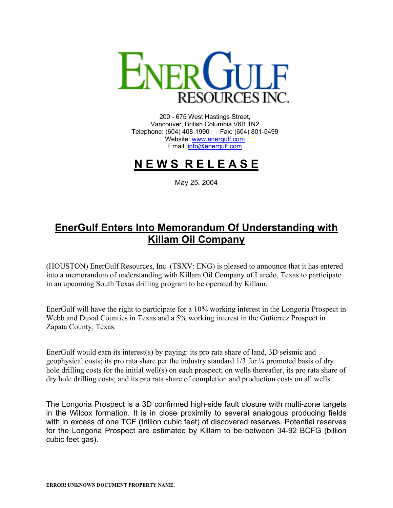

200 - 675 West Hastings Street, Vancouver, British Columbia V6B 1N2 Telephone: (604) 408-1990 Fax: (604) 801-5499 Website: [www.energulf.com](http://www.energulf.com/) Email: [info@energulf.com](mailto:info@energulf.com)

## **N E W S R E L E A S E**

May 25, 2004

## **EnerGulf Enters Into Memorandum Of Understanding with Killam Oil Company**

(HOUSTON) EnerGulf Resources, Inc. (TSXV: ENG) is pleased to announce that it has entered into a memorandum of understanding with Killam Oil Company of Laredo, Texas to participate in an upcoming South Texas drilling program to be operated by Killam.

EnerGulf will have the right to participate for a 10% working interest in the Longoria Prospect in Webb and Duval Counties in Texas and a 5% working interest in the Gutierrez Prospect in Zapata County, Texas.

EnerGulf would earn its interest(s) by paying: its pro rata share of land, 3D seismic and geophysical costs; its pro rata share per the industry standard  $1/3$  for  $\frac{1}{4}$  promoted basis of dry hole drilling costs for the initial well(s) on each prospect; on wells thereafter, its pro rata share of dry hole drilling costs; and its pro rata share of completion and production costs on all wells.

The Longoria Prospect is a 3D confirmed high-side fault closure with multi-zone targets in the Wilcox formation. It is in close proximity to several analogous producing fields with in excess of one TCF (trillion cubic feet) of discovered reserves. Potential reserves for the Longoria Prospect are estimated by Killam to be between 34-92 BCFG (billion cubic feet gas).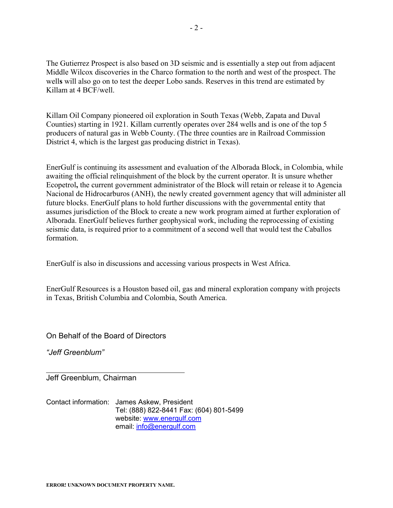The Gutierrez Prospect is also based on 3D seismic and is essentially a step out from adjacent Middle Wilcox discoveries in the Charco formation to the north and west of the prospect. The well**s** will also go on to test the deeper Lobo sands. Reserves in this trend are estimated by Killam at 4 BCF/well.

Killam Oil Company pioneered oil exploration in South Texas (Webb, Zapata and Duval Counties) starting in 1921. Killam currently operates over 284 wells and is one of the top 5 producers of natural gas in Webb County. (The three counties are in Railroad Commission District 4, which is the largest gas producing district in Texas).

EnerGulf is continuing its assessment and evaluation of the Alborada Block, in Colombia, while awaiting the official relinquishment of the block by the current operator. It is unsure whether Ecopetrol**,** the current government administrator of the Block will retain or release it to Agencia Nacional de Hidrocarburos (ANH), the newly created government agency that will administer all future blocks. EnerGulf plans to hold further discussions with the governmental entity that assumes jurisdiction of the Block to create a new work program aimed at further exploration of Alborada. EnerGulf believes further geophysical work, including the reprocessing of existing seismic data, is required prior to a commitment of a second well that would test the Caballos formation.

EnerGulf is also in discussions and accessing various prospects in West Africa.

EnerGulf Resources is a Houston based oil, gas and mineral exploration company with projects in Texas, British Columbia and Colombia, South America.

On Behalf of the Board of Directors

*"Jeff Greenblum"* 

Jeff Greenblum, Chairman

Contact information: James Askew, President Tel: (888) 822-8441 Fax: (604) 801-5499 website: [www.energulf.com](http://www.energulf.com/) email: [info@energulf.com](mailto:info@energulf.com)